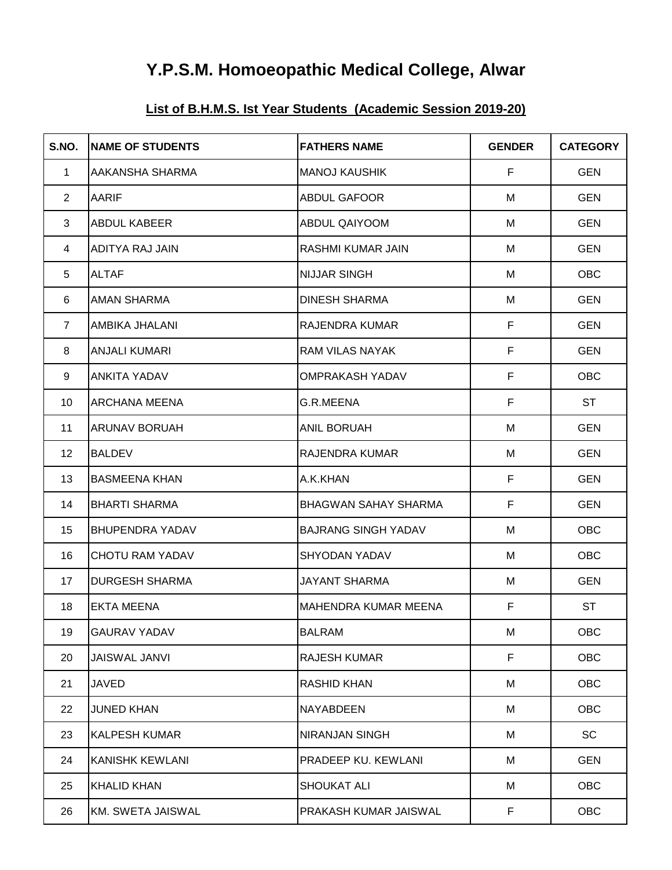# **Y.P.S.M. Homoeopathic Medical College, Alwar**

## **List of B.H.M.S. Ist Year Students (Academic Session 2019-20)**

| S.NO.           | <b>NAME OF STUDENTS</b> | <b>FATHERS NAME</b>         | <b>GENDER</b> | <b>CATEGORY</b> |
|-----------------|-------------------------|-----------------------------|---------------|-----------------|
| $\mathbf{1}$    | AAKANSHA SHARMA         | <b>MANOJ KAUSHIK</b>        | F             | <b>GEN</b>      |
| $\overline{2}$  | <b>AARIF</b>            | <b>ABDUL GAFOOR</b>         | M             | <b>GEN</b>      |
| 3               | <b>ABDUL KABEER</b>     | ABDUL QAIYOOM               | M             | <b>GEN</b>      |
| 4               | <b>ADITYA RAJ JAIN</b>  | <b>RASHMI KUMAR JAIN</b>    | M             | <b>GEN</b>      |
| 5               | <b>ALTAF</b>            | <b>NIJJAR SINGH</b>         | M             | <b>OBC</b>      |
| 6               | <b>AMAN SHARMA</b>      | <b>DINESH SHARMA</b>        | M             | <b>GEN</b>      |
| $\overline{7}$  | AMBIKA JHALANI          | RAJENDRA KUMAR              | F             | <b>GEN</b>      |
| 8               | <b>ANJALI KUMARI</b>    | <b>RAM VILAS NAYAK</b>      | F             | <b>GEN</b>      |
| 9               | <b>ANKITA YADAV</b>     | <b>OMPRAKASH YADAV</b>      | F             | <b>OBC</b>      |
| 10 <sup>°</sup> | <b>ARCHANA MEENA</b>    | G.R.MEENA                   | F             | <b>ST</b>       |
| 11              | <b>ARUNAV BORUAH</b>    | <b>ANIL BORUAH</b>          | M             | <b>GEN</b>      |
| 12 <sup>2</sup> | <b>BALDEV</b>           | <b>RAJENDRA KUMAR</b>       | M             | <b>GEN</b>      |
| 13              | <b>BASMEENA KHAN</b>    | A.K.KHAN                    | F             | <b>GEN</b>      |
| 14              | <b>BHARTI SHARMA</b>    | <b>BHAGWAN SAHAY SHARMA</b> | $\mathsf F$   | <b>GEN</b>      |
| 15              | <b>BHUPENDRA YADAV</b>  | <b>BAJRANG SINGH YADAV</b>  | M             | OBC             |
| 16              | <b>CHOTU RAM YADAV</b>  | <b>SHYODAN YADAV</b>        | M             | OBC             |
| 17              | <b>DURGESH SHARMA</b>   | <b>JAYANT SHARMA</b>        | M             | <b>GEN</b>      |
| 18              | <b>EKTA MEENA</b>       | <b>MAHENDRA KUMAR MEENA</b> | $\mathsf F$   | <b>ST</b>       |
| 19              | <b>GAURAV YADAV</b>     | <b>BALRAM</b>               | M             | OBC             |
| 20              | <b>JAISWAL JANVI</b>    | <b>RAJESH KUMAR</b>         | F             | <b>OBC</b>      |
| 21              | JAVED                   | <b>RASHID KHAN</b>          | M             | <b>OBC</b>      |
| 22              | <b>JUNED KHAN</b>       | NAYABDEEN                   | M             | <b>OBC</b>      |
| 23              | <b>KALPESH KUMAR</b>    | NIRANJAN SINGH              | M             | SC              |
| 24              | <b>KANISHK KEWLANI</b>  | PRADEEP KU. KEWLANI         | M             | <b>GEN</b>      |
| 25              | <b>KHALID KHAN</b>      | <b>SHOUKAT ALI</b>          | M             | <b>OBC</b>      |
| 26              | KM. SWETA JAISWAL       | PRAKASH KUMAR JAISWAL       | F.            | <b>OBC</b>      |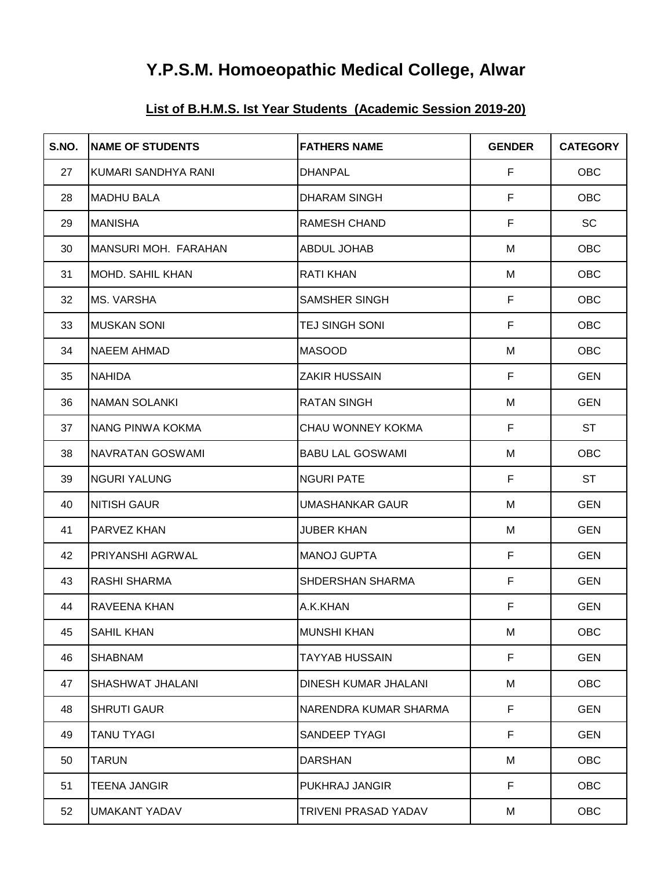# **Y.P.S.M. Homoeopathic Medical College, Alwar**

## **List of B.H.M.S. Ist Year Students (Academic Session 2019-20)**

| S.NO. | <b>INAME OF STUDENTS</b> | <b>FATHERS NAME</b>     | <b>GENDER</b> | <b>CATEGORY</b> |
|-------|--------------------------|-------------------------|---------------|-----------------|
| 27    | KUMARI SANDHYA RANI      | <b>DHANPAL</b>          | F             | <b>OBC</b>      |
| 28    | <b>MADHU BALA</b>        | <b>DHARAM SINGH</b>     | F             | <b>OBC</b>      |
| 29    | <b>MANISHA</b>           | RAMESH CHAND            | F             | <b>SC</b>       |
| 30    | MANSURI MOH. FARAHAN     | <b>ABDUL JOHAB</b>      | M             | OBC             |
| 31    | <b>MOHD. SAHIL KHAN</b>  | <b>RATI KHAN</b>        | M             | <b>OBC</b>      |
| 32    | <b>MS. VARSHA</b>        | SAMSHER SINGH           | F             | OBC             |
| 33    | <b>MUSKAN SONI</b>       | TEJ SINGH SONI          | $\mathsf F$   | <b>OBC</b>      |
| 34    | <b>NAEEM AHMAD</b>       | <b>MASOOD</b>           | M             | OBC             |
| 35    | <b>NAHIDA</b>            | <b>ZAKIR HUSSAIN</b>    | F             | <b>GEN</b>      |
| 36    | <b>NAMAN SOLANKI</b>     | <b>RATAN SINGH</b>      | M             | <b>GEN</b>      |
| 37    | <b>INANG PINWA KOKMA</b> | CHAU WONNEY KOKMA       | F             | <b>ST</b>       |
| 38    | <b>NAVRATAN GOSWAMI</b>  | <b>BABU LAL GOSWAMI</b> | M             | OBC             |
| 39    | <b>NGURI YALUNG</b>      | <b>NGURI PATE</b>       | F             | ST              |
| 40    | <b>NITISH GAUR</b>       | UMASHANKAR GAUR         | M             | <b>GEN</b>      |
| 41    | <b>PARVEZ KHAN</b>       | <b>JUBER KHAN</b>       | M             | <b>GEN</b>      |
| 42    | <b>PRIYANSHI AGRWAL</b>  | <b>MANOJ GUPTA</b>      | F             | <b>GEN</b>      |
| 43    | <b>RASHI SHARMA</b>      | SHDERSHAN SHARMA        | F             | <b>GEN</b>      |
| 44    | IRAVEENA KHAN            | A.K.KHAN                | F             | <b>GEN</b>      |
| 45    | <b>SAHIL KHAN</b>        | <b>MUNSHI KHAN</b>      | М             | OBC             |
| 46    | <b>SHABNAM</b>           | <b>TAYYAB HUSSAIN</b>   | F             | <b>GEN</b>      |
| 47    | <b>SHASHWAT JHALANI</b>  | DINESH KUMAR JHALANI    | M             | <b>OBC</b>      |
| 48    | <b>SHRUTI GAUR</b>       | NARENDRA KUMAR SHARMA   | $\mathsf F$   | <b>GEN</b>      |
| 49    | <b>TANU TYAGI</b>        | SANDEEP TYAGI           | F             | <b>GEN</b>      |
| 50    | <b>TARUN</b>             | <b>DARSHAN</b>          | М             | <b>OBC</b>      |
| 51    | <b>TEENA JANGIR</b>      | PUKHRAJ JANGIR          | F             | <b>OBC</b>      |
| 52    | <b>UMAKANT YADAV</b>     | TRIVENI PRASAD YADAV    | М             | <b>OBC</b>      |